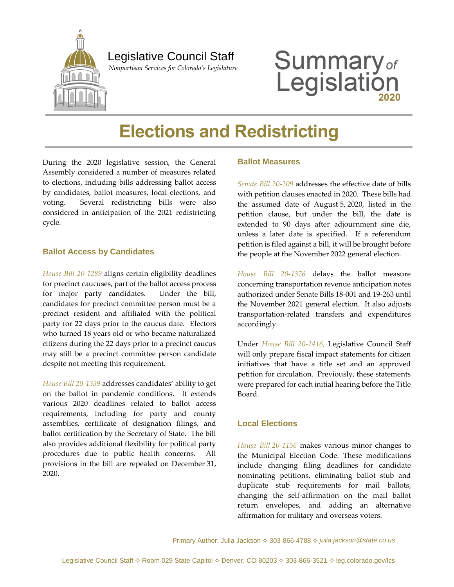

### Legislative Council Staff

 *Nonpartisan Services for Colorado's Legislature*

# **Summary**<sub>of</sub><br>Legislation

# **Elections and Redistricting**

During the 2020 legislative session, the General Assembly considered a number of measures related to elections, including bills addressing ballot access by candidates, ballot measures, local elections, and voting. Several redistricting bills were also considered in anticipation of the 2021 redistricting cycle.

#### **Ballot Access by Candidates**

*[House Bill 20-1289](http://leg.colorado.gov/bills/hb20-1289)* aligns certain eligibility deadlines for precinct caucuses, part of the ballot access process for major party candidates. Under the bill, candidates for precinct committee person must be a precinct resident and affiliated with the political party for 22 days prior to the caucus date. Electors who turned 18 years old or who became naturalized citizens during the 22 days prior to a precinct caucus may still be a precinct committee person candidate despite not meeting this requirement.

*[House Bill 20-1359](http://leg.colorado.gov/bills/hb20-1359)* addresses candidates' ability to get on the ballot in pandemic conditions. It extends various 2020 deadlines related to ballot access requirements, including for party and county assemblies, certificate of designation filings, and ballot certification by the Secretary of State. The bill also provides additional flexibility for political party procedures due to public health concerns. All provisions in the bill are repealed on December 31, 2020.

#### **Ballot Measures**

*[Senate Bill 20-209](http://leg.colorado.gov/bills/sb20-209)* addresses the effective date of bills with petition clauses enacted in 2020. These bills had the assumed date of August 5, 2020, listed in the petition clause, but under the bill, the date is extended to 90 days after adjournment sine die, unless a later date is specified. If a referendum petition is filed against a bill, it will be brought before the people at the November 2022 general election.

*[House Bill 20-1376](http://leg.colorado.gov/bills/hb20-1376)* delays the ballot measure concerning transportation revenue anticipation notes authorized under Senate Bills 18-001 and 19-263 until the November 2021 general election. It also adjusts transportation-related transfers and expenditures accordingly.

Under *[House Bill 20-1416,](http://leg.colorado.gov/bills/hb20-1416)* Legislative Council Staff will only prepare fiscal impact statements for citizen initiatives that have a title set and an approved petition for circulation. Previously, these statements were prepared for each initial hearing before the Title Board.

#### **Local Elections**

*[House Bill](http://leg.colorado.gov/bills/hb20-1156) 20-1156* makes various minor changes to the Municipal Election Code. These modifications include changing filing deadlines for candidate nominating petitions, eliminating ballot stub and duplicate stub requirements for mail ballots, changing the self-affirmation on the mail ballot return envelopes, and adding an alternative affirmation for military and overseas voters.

Primary Author: Julia Jackson 303-866-4788 *[julia.jackson@state.co.us](mailto:julia.jackson@state.co.us)*